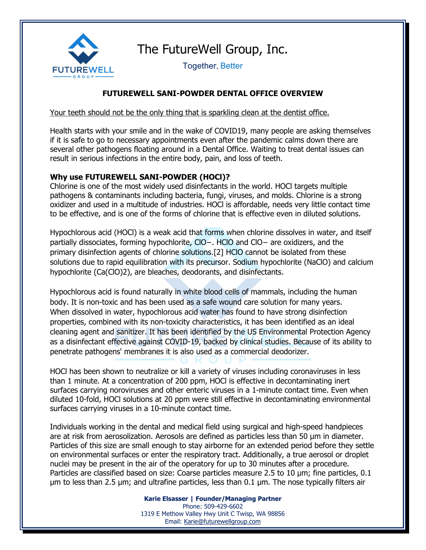

Together, Better

## **FUTUREWELL SANI-POWDER DENTAL OFFICE OVERVIEW**

Your teeth should not be the only thing that is sparkling clean at the dentist office.

Health starts with your smile and in the wake of COVID19, many people are asking themselves if it is safe to go to necessary appointments even after the pandemic calms down there are several other pathogens floating around in a Dental Office. Waiting to treat dental issues can result in serious infections in the entire body, pain, and loss of teeth.

## **Why use FUTUREWELL SANI-POWDER (HOCl)?**

Chlorine is one of the most widely used disinfectants in the world. HOCl targets multiple pathogens & contaminants including bacteria, fungi, viruses, and molds. Chlorine is a strong oxidizer and used in a multitude of industries. HOCl is affordable, needs very little contact time to be effective, and is one of the forms of chlorine that is effective even in diluted solutions.

Hypochlorous acid (HOCl) is a weak [acid](https://en.wikipedia.org/wiki/Acid) that forms when [chlorine](https://en.wikipedia.org/wiki/Chlorine) dissolves in water, and itself partially dissociates, forming [hypochlorite](https://en.wikipedia.org/wiki/Hypochlorite), ClO−. HClO and ClO− are oxidizers, and the primary [disinfection](https://en.wikipedia.org/wiki/Disinfection) agents of chlorine solutions[.\[2\]](https://en.wikipedia.org/wiki/Hypochlorous_acid#cite_note-2) HClO cannot be isolated from these solutions due to rapid equilibration with its [precursor.](https://en.wikipedia.org/wiki/Precursor_(chemistry)) [Sodium hypochlorite](https://en.wikipedia.org/wiki/Sodium_hypochlorite) (NaClO) and [calcium](https://en.wikipedia.org/wiki/Calcium_hypochlorite)  [hypochlorite](https://en.wikipedia.org/wiki/Calcium_hypochlorite) (Ca(ClO)2), are [bleaches,](https://en.wikipedia.org/wiki/Bleach_(chemical)) [deodorants,](https://en.wikipedia.org/wiki/Deodorant) and [disinfectants.](https://en.wikipedia.org/wiki/Disinfectant)

Hypochlorous acid is found naturally in white blood cells of mammals, including the human body. It is non-toxic and has been used as a safe wound care solution for many years. When dissolved in water, hypochlorous acid water has found to have strong disinfection properties, combined with its non-toxicity characteristics, it has been identified as an ideal cleaning agent and sanitizer. It has been identified by the US Environmental Protection Agency as a disinfectant effective against COVID-19, backed by clinical studies. Because of its ability to penetrate pathogens' membranes it is also used as a commercial deodorizer.

HOCl has been shown to neutralize or kill a variety of viruses including coronaviruses in less than 1 minute. At a concentration of 200 ppm, HOCl is effective in decontaminating inert surfaces carrying noroviruses and other enteric viruses in a 1-minute contact time. Even when diluted 10-fold, HOCl solutions at 20 ppm were still effective in decontaminating environmental surfaces carrying viruses in a 10-minute contact time.

Individuals working in the dental and medical field using surgical and high-speed handpieces are at risk from aerosolization. Aerosols are defined as particles less than 50 μm in diameter. Particles of this size are small enough to stay airborne for an extended period before they settle on environmental surfaces or enter the respiratory tract. Additionally, a true aerosol or droplet nuclei may be present in the air of the operatory for up to 30 minutes after a procedure. Particles are classified based on size: Coarse particles measure 2.5 to 10 μm; fine particles, 0.1 μm to less than 2.5 μm; and ultrafine particles, less than 0.1 μm. The nose typically filters air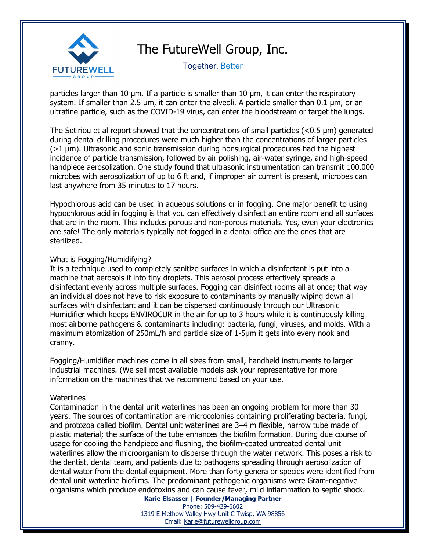

Together, Better

particles larger than 10 μm. If a particle is smaller than 10 μm, it can enter the respiratory system. If smaller than 2.5 μm, it can enter the alveoli. A particle smaller than 0.1 μm, or an ultrafine particle, such as the COVID-19 virus, can enter the bloodstream or target the lungs.

The Sotiriou et al report showed that the concentrations of small particles (<0.5 μm) generated during dental drilling procedures were much higher than the concentrations of larger particles  $(>1 \mu m)$ . Ultrasonic and sonic transmission during nonsurgical procedures had the highest incidence of particle transmission, followed by air polishing, air-water syringe, and high-speed handpiece aerosolization. One study found that ultrasonic instrumentation can transmit 100,000 microbes with aerosolization of up to 6 ft and, if improper air current is present, microbes can last anywhere from 35 minutes to 17 hours.

Hypochlorous acid can be used in aqueous solutions or in fogging. One major benefit to using hypochlorous acid in fogging is that you can effectively disinfect an entire room and all surfaces that are in the room. This includes porous and non-porous materials. Yes, even your electronics are safe! The only materials typically not fogged in a dental office are the ones that are sterilized.

### What is Fogging/Humidifying?

It is a technique used to completely sanitize surfaces in which a disinfectant is put into a machine that aerosols it into tiny droplets. This aerosol process effectively spreads a disinfectant evenly across multiple surfaces. Fogging can disinfect rooms all at once; that way an individual does not have to risk exposure to contaminants by manually wiping down all surfaces with disinfectant and it can be dispersed continuously through our Ultrasonic Humidifier which keeps ENVIROCUR in the air for up to 3 hours while it is continuously killing most airborne pathogens & contaminants including: bacteria, fungi, viruses, and molds. With a maximum atomization of 250mL/h and particle size of 1-5μm it gets into every nook and cranny.

Fogging/Humidifier machines come in all sizes from small, handheld instruments to larger industrial machines. (We sell most available models ask your representative for more information on the machines that we recommend based on your use.

### **Waterlines**

Contamination in the dental unit waterlines has been an ongoing problem for more than 30 years. The sources of contamination are microcolonies containing proliferating bacteria, fungi, and protozoa called biofilm. Dental unit waterlines are 3–4 m flexible, narrow tube made of plastic material; the surface of the tube enhances the biofilm formation. During due course of usage for cooling the handpiece and flushing, the biofilm-coated untreated dental unit waterlines allow the microorganism to disperse through the water network. This poses a risk to the dentist, dental team, and patients due to pathogens spreading through aerosolization of dental water from the dental equipment. More than forty genera or species were identified from dental unit waterline biofilms. The predominant pathogenic organisms were Gram-negative organisms which produce endotoxins and can cause fever, mild inflammation to septic shock.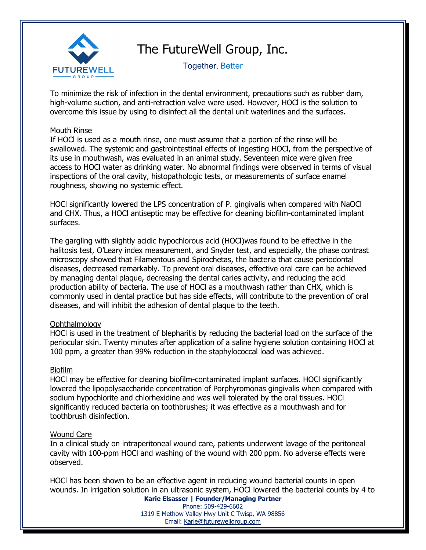

Together, Better

To minimize the risk of infection in the dental environment, precautions such as rubber dam, high-volume suction, and anti-retraction valve were used. However, HOCl is the solution to overcome this issue by using to disinfect all the dental unit waterlines and the surfaces.

### Mouth Rinse

If HOCl is used as a mouth rinse, one must assume that a portion of the rinse will be swallowed. The systemic and gastrointestinal effects of ingesting HOCl, from the perspective of its use in mouthwash, was evaluated in an animal study. Seventeen mice were given free access to HOCl water as drinking water. No abnormal findings were observed in terms of visual inspections of the oral cavity, histopathologic tests, or measurements of surface enamel roughness, showing no systemic effect.

HOCl significantly lowered the LPS concentration of P. gingivalis when compared with NaOCl and CHX. Thus, a HOCl antiseptic may be effective for cleaning biofilm-contaminated implant surfaces.

The gargling with slightly acidic hypochlorous acid (HOCl)was found to be effective in the halitosis test, O'Leary index measurement, and Snyder test, and especially, the phase contrast microscopy showed that Filamentous and Spirochetas, the bacteria that cause periodontal diseases, decreased remarkably. To prevent oral diseases, effective oral care can be achieved by managing dental plaque, decreasing the dental caries activity, and reducing the acid production ability of bacteria. The use of HOCl as a mouthwash rather than CHX, which is commonly used in dental practice but has side effects, will contribute to the prevention of oral diseases, and will inhibit the adhesion of dental plaque to the teeth.

## Ophthalmology

HOCl is used in the treatment of blepharitis by reducing the bacterial load on the surface of the periocular skin. Twenty minutes after application of a saline hygiene solution containing HOCl at 100 ppm, a greater than 99% reduction in the staphylococcal load was achieved.

## Biofilm

HOCl may be effective for cleaning biofilm-contaminated implant surfaces. HOCl significantly lowered the lipopolysaccharide concentration of Porphyromonas gingivalis when compared with sodium hypochlorite and chlorhexidine and was well tolerated by the oral tissues. HOCl significantly reduced bacteria on toothbrushes; it was effective as a mouthwash and for toothbrush disinfection.

### Wound Care

In a clinical study on intraperitoneal wound care, patients underwent lavage of the peritoneal cavity with 100-ppm HOCl and washing of the wound with 200 ppm. No adverse effects were observed.

HOCl has been shown to be an effective agent in reducing wound bacterial counts in open wounds. In irrigation solution in an ultrasonic system, HOCl lowered the bacterial counts by 4 to